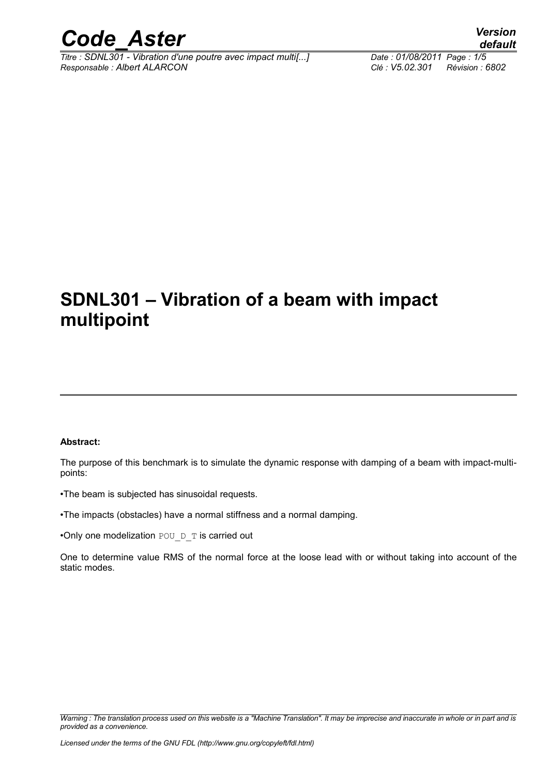

*Titre : SDNL301 - Vibration d'une poutre avec impact multi[...] Date : 01/08/2011 Page : 1/5 Responsable : Albert ALARCON Clé : V5.02.301 Révision : 6802*

*default*

### **SDNL301 – Vibration of a beam with impact multipoint**

#### **Abstract:**

The purpose of this benchmark is to simulate the dynamic response with damping of a beam with impact-multipoints:

•The beam is subjected has sinusoidal requests.

•The impacts (obstacles) have a normal stiffness and a normal damping.

•Only one modelization POU D T is carried out

One to determine value RMS of the normal force at the loose lead with or without taking into account of the static modes.

*Warning : The translation process used on this website is a "Machine Translation". It may be imprecise and inaccurate in whole or in part and is provided as a convenience.*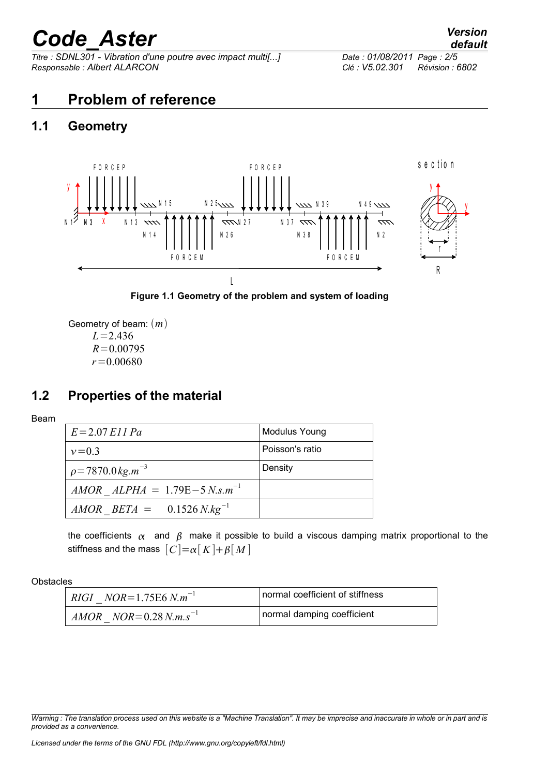*Titre : SDNL301 - Vibration d'une poutre avec impact multi[...] Date : 01/08/2011 Page : 2/5 Responsable : Albert ALARCON Clé : V5.02.301 Révision : 6802*

#### **1 Problem of reference**

#### **1.1 Geometry**



**Figure 1.1 Geometry of the problem and system of loading**

Geometry of beam:  $(m)$ *L*=2.436  $R = 0.00795$ *r*=0.00680

#### **1.2 Properties of the material**

Beam

| $E = 2.07$ E11 Pa                       | <b>Modulus Young</b> |
|-----------------------------------------|----------------------|
| $v = 0.3$                               | Poisson's ratio      |
| $\rho = 7870.0 \,\mathrm{kg.m}^{-3}$    | Density              |
| $AMOR$ $ALPHA = 1.79E-5 N.s.m^{-1}$     |                      |
| $AMOR$ BETA = 0.1526 N.kg <sup>-1</sup> |                      |

the coefficients  $\alpha$  and  $\beta$  make it possible to build a viscous damping matrix proportional to the stiffness and the mass  $[C] = \alpha[K] + \beta[M]$ 

**Obstacles** 

| <i>RIGI NOR</i> =1.75E6 $N.m^{-1}$ | normal coefficient of stiffness |
|------------------------------------|---------------------------------|
| $AMOR$ $NOR = 0.28 N.m.s^{-1}$     | normal damping coefficient      |

*Warning : The translation process used on this website is a "Machine Translation". It may be imprecise and inaccurate in whole or in part and is provided as a convenience.*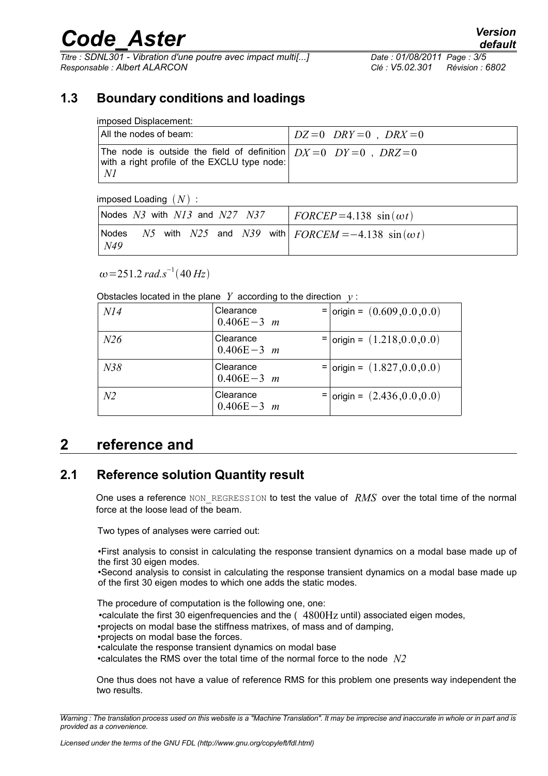*Titre : SDNL301 - Vibration d'une poutre avec impact multi[...] Date : 01/08/2011 Page : 3/5 Responsable : Albert ALARCON Clé : V5.02.301 Révision : 6802*

#### **1.3 Boundary conditions and loadings**

| All the nodes of beam:                                                                                                      | $\mid DZ=0$ DRY = 0, DRX = 0 |
|-----------------------------------------------------------------------------------------------------------------------------|------------------------------|
| The node is outside the field of definition $DX=0$ $DY=0$ . $DRZ=0$<br>with a right profile of the EXCLU type node:<br>- N1 |                              |

 $imposed$  Loading  $(N)$  :

| Nodes $N3$ with $N13$ and $N27$ $N37$ |  |  |  | $\overline{PORCEP} = 4.138 \sin(\omega t)$                |
|---------------------------------------|--|--|--|-----------------------------------------------------------|
| Nodes<br>N49                          |  |  |  | N5 with N25 and N39 with $FORCEM = -4.138 \sin(\omega t)$ |

 $\omega$ =251.2 *rad.s*<sup>-1</sup>(40 *Hz*)

Obstacles located in the plane *Y* according to the direction  $v$ :

| NI4            | Clearance<br>$0.406E - 3$ m | $=$   origin = $(0.609, 0.0, 0.0)$ |
|----------------|-----------------------------|------------------------------------|
| N26            | Clearance<br>$0.406E - 3$ m | $=$   origin = $(1.218, 0.0, 0.0)$ |
| N38            | Clearance<br>$0.406E - 3$ m | $=$   origin = $(1.827, 0.0, 0.0)$ |
| N <sub>2</sub> | Clearance<br>$0.406E - 3$ m | $=$   origin = $(2.436, 0.0, 0.0)$ |

#### **2 reference and**

#### **2.1 Reference solution Quantity result**

One uses a reference NON\_REGRESSION to test the value of *RMS* over the total time of the normal force at the loose lead of the beam.

Two types of analyses were carried out:

•First analysis to consist in calculating the response transient dynamics on a modal base made up of the first 30 eigen modes.

•Second analysis to consist in calculating the response transient dynamics on a modal base made up of the first 30 eigen modes to which one adds the static modes.

The procedure of computation is the following one, one: •calculate the first 30 eigenfrequencies and the  $(4800Hz$  until) associated eigen modes, •projects on modal base the stiffness matrixes, of mass and of damping, •projects on modal base the forces. •calculate the response transient dynamics on modal base •calculates the RMS over the total time of the normal force to the node *N2*

One thus does not have a value of reference RMS for this problem one presents way independent the two results.

*Warning : The translation process used on this website is a "Machine Translation". It may be imprecise and inaccurate in whole or in part and is provided as a convenience.*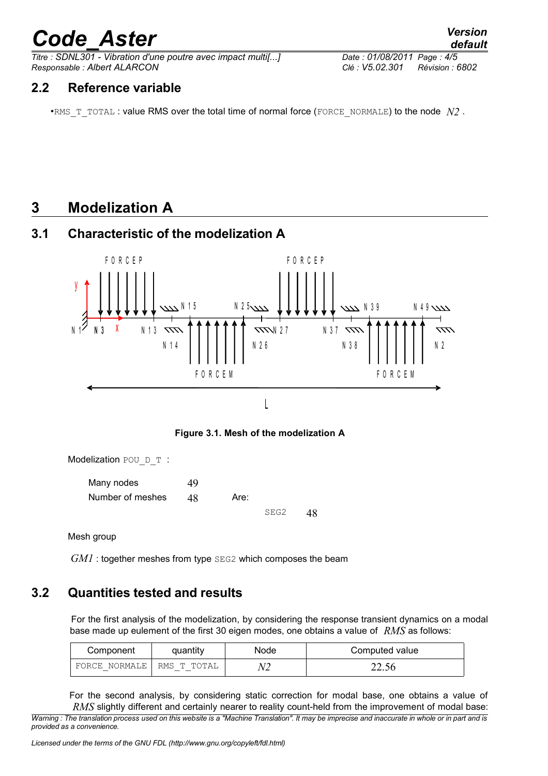*Titre : SDNL301 - Vibration d'une poutre avec impact multi[...] Date : 01/08/2011 Page : 4/5 Responsable : Albert ALARCON Clé : V5.02.301 Révision : 6802*

#### **2.2 Reference variable**

•RMS  $T$  TOTAL : value RMS over the total time of normal force (FORCE\_NORMALE) to the node  $N2$ .

#### **3 Modelization A**

#### **3.1 Characteristic of the modelization A**



**Figure 3.1. Mesh of the modelization A**

Modelization POU D T :

Many nodes 49 Number of meshes 48 Are:

SEG2 48

Mesh group

*GM1* : together meshes from type SEG2 which composes the beam

#### **3.2 Quantities tested and results**

For the first analysis of the modelization, by considering the response transient dynamics on a modal base made up eulement of the first 30 eigen modes, one obtains a value of *RMS* as follows:

| Component     | quantity    | <b>Node</b> | Computed value |
|---------------|-------------|-------------|----------------|
| FORCE NORMALE | RMS T TOTAL |             | 44.JU          |

For the second analysis, by considering static correction for modal base, one obtains a value of *RMS* slightly different and certainly nearer to reality count-held from the improvement of modal base:

*Warning : The translation process used on this website is a "Machine Translation". It may be imprecise and inaccurate in whole or in part and is provided as a convenience.*